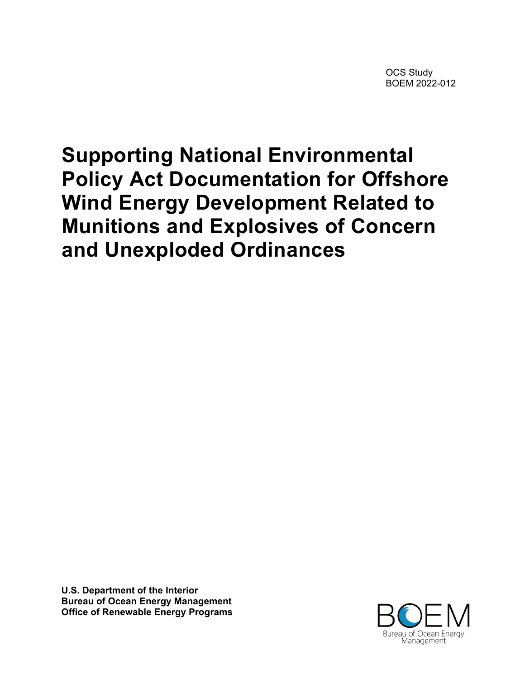OCS Study BOEM 2022-012

# **Supporting National Environmental Policy Act Documentation for Offshore Wind Energy Development Related to Munitions and Explosives of Concern and Unexploded Ordinances**

**U.S. Department of the Interior Bureau of Ocean Energy Management Office of Renewable Energy Programs**

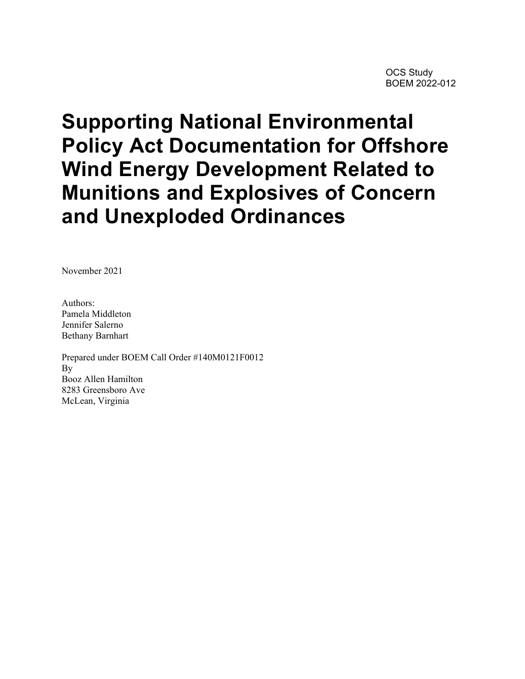# **Supporting National Environmental Policy Act Documentation for Offshore Wind Energy Development Related to Munitions and Explosives of Concern and Unexploded Ordinances**

November 2021

Authors: Pamela Middleton Jennifer Salerno Bethany Barnhart

Prepared under BOEM Call Order #140M0121F0012 By Booz Allen Hamilton 8283 Greensboro Ave McLean, Virginia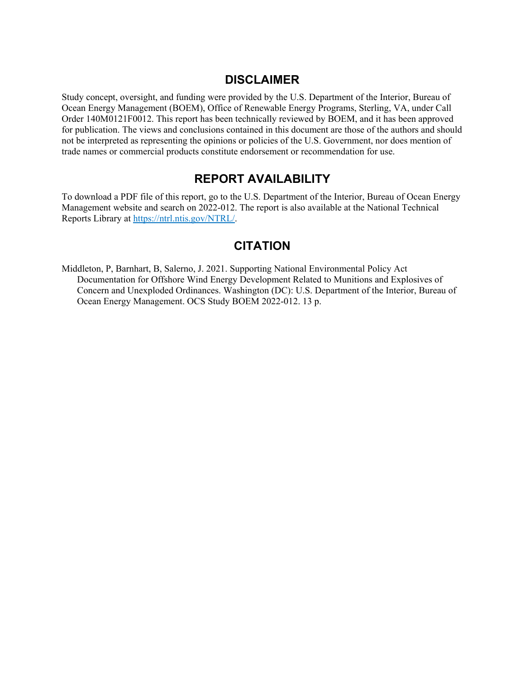#### **DISCLAIMER**

Study concept, oversight, and funding were provided by the U.S. Department of the Interior, Bureau of Ocean Energy Management (BOEM), Office of Renewable Energy Programs, Sterling, VA, under Call Order 140M0121F0012. This report has been technically reviewed by BOEM, and it has been approved for publication. The views and conclusions contained in this document are those of the authors and should not be interpreted as representing the opinions or policies of the U.S. Government, nor does mention of trade names or commercial products constitute endorsement or recommendation for use.

#### **REPORT AVAILABILITY**

To download a PDF file of this report, go to the U.S. Department of the Interior, Bureau of Ocean Energy Management website and search on 2022-012. The report is also available at the National Technical Reports Library at [https://ntrl.ntis.gov/NTRL/.](https://ntrl.ntis.gov/NTRL/)

#### **CITATION**

Middleton, P, Barnhart, B, Salerno, J. 2021. Supporting National Environmental Policy Act Documentation for Offshore Wind Energy Development Related to Munitions and Explosives of Concern and Unexploded Ordinances. Washington (DC): U.S. Department of the Interior, Bureau of Ocean Energy Management. OCS Study BOEM 2022-012. 13 p.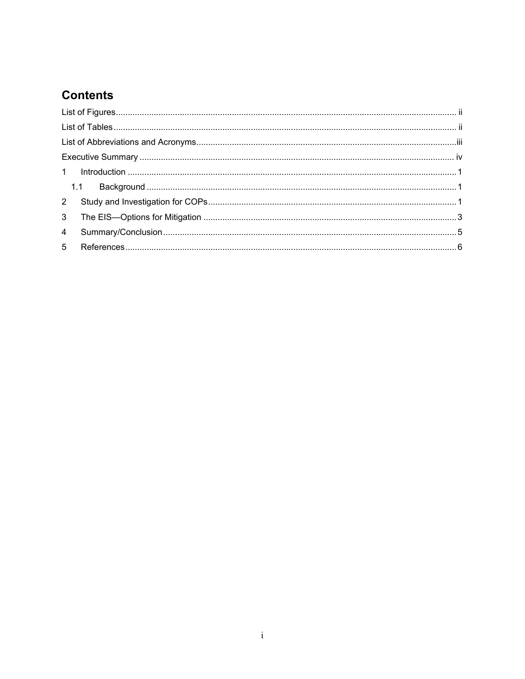## **Contents**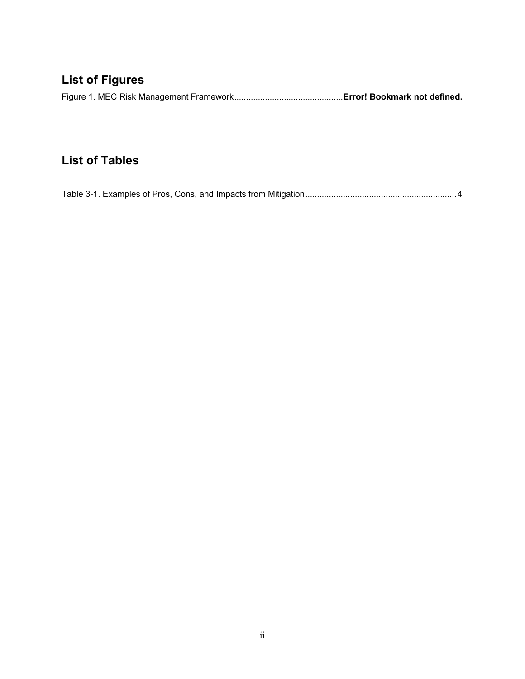# <span id="page-4-0"></span>**List of Figures**

|--|--|--|

## <span id="page-4-1"></span>**List of Tables**

[Table 3-1. Examples of Pros, Cons, and Impacts from Mitigation................................................................4](#page-10-0)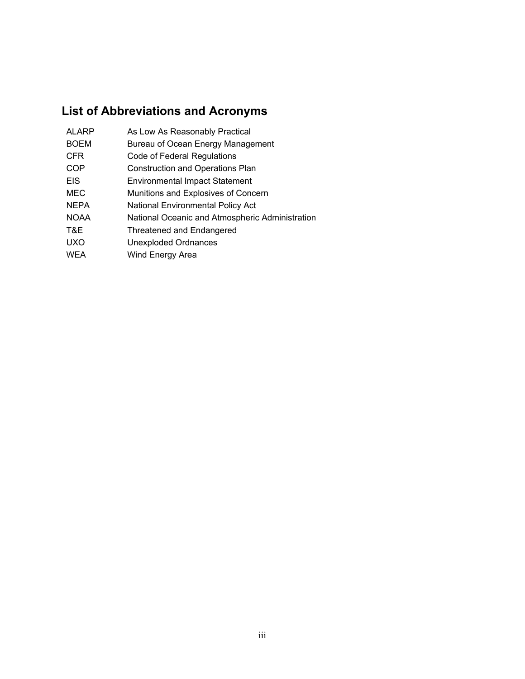# <span id="page-5-0"></span>**List of Abbreviations and Acronyms**

| <b>ALARP</b> | As Low As Reasonably Practical                  |
|--------------|-------------------------------------------------|
| <b>BOEM</b>  | Bureau of Ocean Energy Management               |
| <b>CFR</b>   | Code of Federal Regulations                     |
| COP          | <b>Construction and Operations Plan</b>         |
| <b>EIS</b>   | <b>Environmental Impact Statement</b>           |
| MEC          | Munitions and Explosives of Concern             |
| <b>NEPA</b>  | National Environmental Policy Act               |
| <b>NOAA</b>  | National Oceanic and Atmospheric Administration |
| T&E          | Threatened and Endangered                       |
| <b>UXO</b>   | <b>Unexploded Ordnances</b>                     |
| <b>WEA</b>   | Wind Energy Area                                |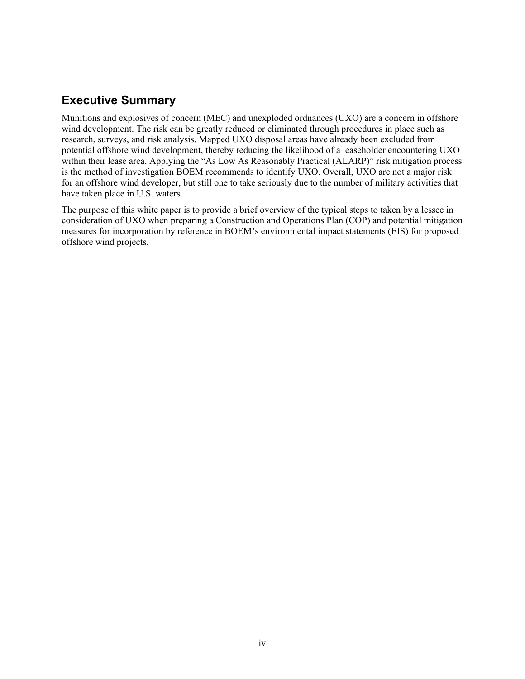#### <span id="page-6-0"></span>**Executive Summary**

Munitions and explosives of concern (MEC) and unexploded ordnances (UXO) are a concern in offshore wind development. The risk can be greatly reduced or eliminated through procedures in place such as research, surveys, and risk analysis. Mapped UXO disposal areas have already been excluded from potential offshore wind development, thereby reducing the likelihood of a leaseholder encountering UXO within their lease area. Applying the "As Low As Reasonably Practical (ALARP)" risk mitigation process is the method of investigation BOEM recommends to identify UXO. Overall, UXO are not a major risk for an offshore wind developer, but still one to take seriously due to the number of military activities that have taken place in U.S. waters.

The purpose of this white paper is to provide a brief overview of the typical steps to taken by a lessee in consideration of UXO when preparing a Construction and Operations Plan (COP) and potential mitigation measures for incorporation by reference in BOEM's environmental impact statements (EIS) for proposed offshore wind projects.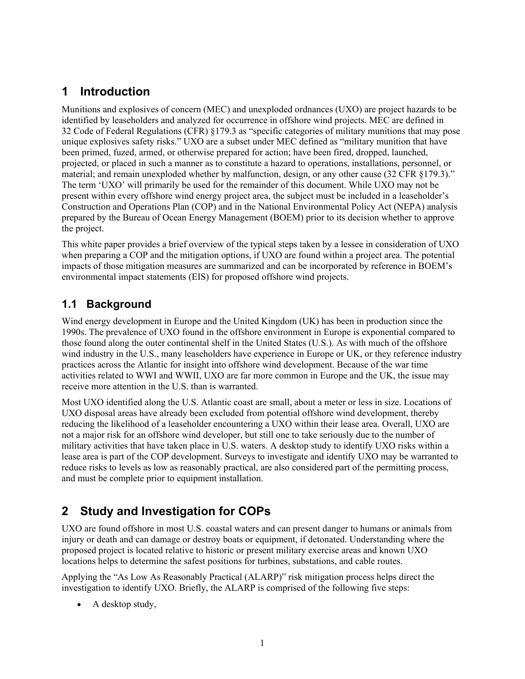### <span id="page-7-0"></span>**1 Introduction**

Munitions and explosives of concern (MEC) and unexploded ordnances (UXO) are project hazards to be identified by leaseholders and analyzed for occurrence in offshore wind projects. MEC are defined in 32 Code of Federal Regulations (CFR) §179.3 as "specific categories of military munitions that may pose unique explosives safety risks." UXO are a subset under MEC defined as "military munition that have been primed, fuzed, armed, or otherwise prepared for action; have been fired, dropped, launched, projected, or placed in such a manner as to constitute a hazard to operations, installations, personnel, or material; and remain unexploded whether by malfunction, design, or any other cause (32 CFR §179.3)." The term 'UXO' will primarily be used for the remainder of this document. While UXO may not be present within every offshore wind energy project area, the subject must be included in a leaseholder's Construction and Operations Plan (COP) and in the National Environmental Policy Act (NEPA) analysis prepared by the Bureau of Ocean Energy Management (BOEM) prior to its decision whether to approve the project.

This white paper provides a brief overview of the typical steps taken by a lessee in consideration of UXO when preparing a COP and the mitigation options, if UXO are found within a project area. The potential impacts of those mitigation measures are summarized and can be incorporated by reference in BOEM's environmental impact statements (EIS) for proposed offshore wind projects.

#### <span id="page-7-1"></span>**1.1 Background**

Wind energy development in Europe and the United Kingdom (UK) has been in production since the 1990s. The prevalence of UXO found in the offshore environment in Europe is exponential compared to those found along the outer continental shelf in the United States (U.S.). As with much of the offshore wind industry in the U.S., many leaseholders have experience in Europe or UK, or they reference industry practices across the Atlantic for insight into offshore wind development. Because of the war time activities related to WWI and WWII, UXO are far more common in Europe and the UK, the issue may receive more attention in the U.S. than is warranted.

Most UXO identified along the U.S. Atlantic coast are small, about a meter or less in size. Locations of UXO disposal areas have already been excluded from potential offshore wind development, thereby reducing the likelihood of a leaseholder encountering a UXO within their lease area. Overall, UXO are not a major risk for an offshore wind developer, but still one to take seriously due to the number of military activities that have taken place in U.S. waters. A desktop study to identify UXO risks within a lease area is part of the COP development. Surveys to investigate and identify UXO may be warranted to reduce risks to levels as low as reasonably practical, are also considered part of the permitting process, and must be complete prior to equipment installation.

## <span id="page-7-2"></span>**2 Study and Investigation for COPs**

UXO are found offshore in most U.S. coastal waters and can present danger to humans or animals from injury or death and can damage or destroy boats or equipment, if detonated. Understanding where the proposed project is located relative to historic or present military exercise areas and known UXO locations helps to determine the safest positions for turbines, substations, and cable routes.

Applying the "As Low As Reasonably Practical (ALARP)" risk mitigation process helps direct the investigation to identify UXO. Briefly, the ALARP is comprised of the following five steps:

• A desktop study,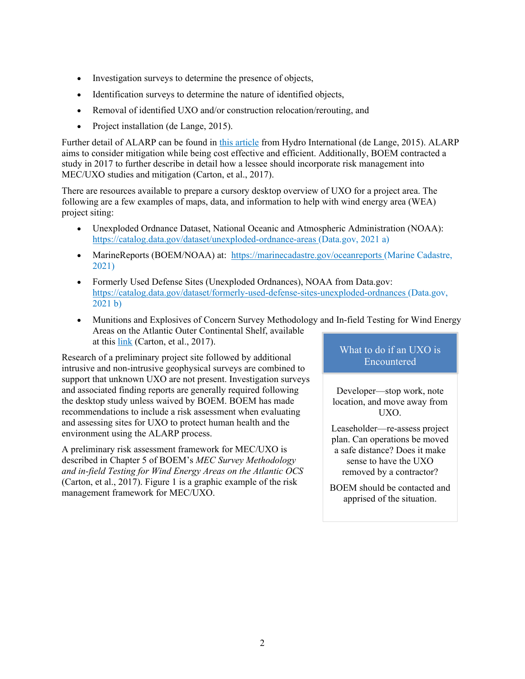- Investigation surveys to determine the presence of objects,
- Identification surveys to determine the nature of identified objects,
- Removal of identified UXO and/or construction relocation/rerouting, and
- Project installation (de Lange, 2015).

Further detail of ALARP can be found in [this article](https://www.hydro-international.com/content/article/managing-uxo-risk-in-offshore-and-renewables-projects?output=pdf) from Hydro International (de Lange, 2015). ALARP aims to consider mitigation while being cost effective and efficient. Additionally, BOEM contracted a study in 2017 to further describe in detail how a lessee should incorporate risk management into MEC/UXO studies and mitigation (Carton, et al., 2017).

There are resources available to prepare a cursory desktop overview of UXO for a project area. The following are a few examples of maps, data, and information to help with wind energy area (WEA) project siting:

- Unexploded Ordnance Dataset, National Oceanic and Atmospheric Administration (NOAA): <https://catalog.data.gov/dataset/unexploded-ordnance-areas> (Data.gov, 2021 a)
- MarineReports (BOEM/NOAA) at: <https://marinecadastre.gov/oceanreports> (Marine Cadastre, 2021)
- Formerly Used Defense Sites (Unexploded Ordnances), NOAA from Data.gov: <https://catalog.data.gov/dataset/formerly-used-defense-sites-unexploded-ordnances> (Data.gov, 2021 b)
- Munitions and Explosives of Concern Survey Methodology and In-field Testing for Wind Energy Areas on the Atlantic Outer Continental Shelf, available at this [link](https://www.boem.gov/sites/default/files/environmental-stewardship/Environmental-Studies/Renewable-Energy/Munitions-and-Explosives-of-Concern-Survey-Methodology-and-In-field-Testing-for-Wind-Energy-Areas-on-the-Atlantic-Outer-Continental-Shelf.pdf) (Carton, et al., 2017).

Research of a preliminary project site followed by additional intrusive and non-intrusive geophysical surveys are combined to support that unknown UXO are not present. Investigation surveys and associated finding reports are generally required following the desktop study unless waived by BOEM. BOEM has made recommendations to include a risk assessment when evaluating and assessing sites for UXO to protect human health and the environment using the ALARP process.

A preliminary risk assessment framework for MEC/UXO is described in Chapter 5 of BOEM's *MEC Survey Methodology and in-field Testing for Wind Energy Areas on the Atlantic OCS* (Carton, et al., 2017). [Figure 1](#page-9-1) is a graphic example of the risk management framework for MEC/UXO.

#### What to do if an UXO is Encountered

Developer—stop work, note location, and move away from UXO.

Leaseholder—re-assess project plan. Can operations be moved a safe distance? Does it make sense to have the UXO removed by a contractor?

BOEM should be contacted and apprised of the situation.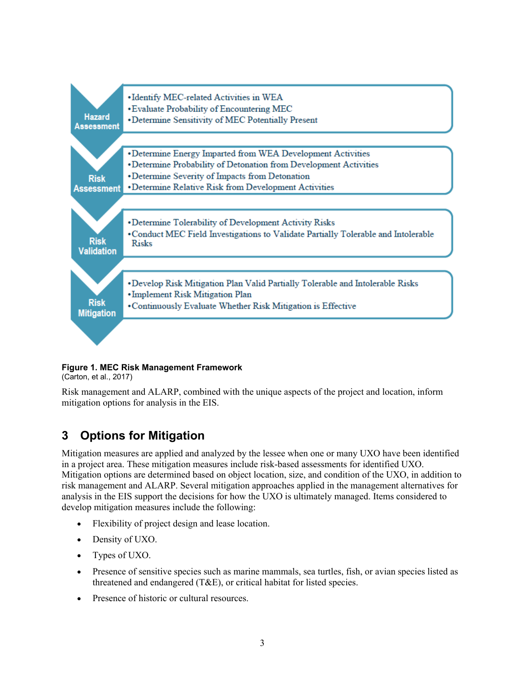

#### <span id="page-9-1"></span>**Figure 1. MEC Risk Management Framework**

(Carton, et al., 2017)

Risk management and ALARP, combined with the unique aspects of the project and location, inform mitigation options for analysis in the EIS.

## <span id="page-9-0"></span>**3 Options for Mitigation**

Mitigation measures are applied and analyzed by the lessee when one or many UXO have been identified in a project area. These mitigation measures include risk-based assessments for identified UXO. Mitigation options are determined based on object location, size, and condition of the UXO, in addition to risk management and ALARP. Several mitigation approaches applied in the management alternatives for analysis in the EIS support the decisions for how the UXO is ultimately managed. Items considered to develop mitigation measures include the following:

- Flexibility of project design and lease location.
- Density of UXO.
- Types of UXO.
- Presence of sensitive species such as marine mammals, sea turtles, fish, or avian species listed as threatened and endangered (T&E), or critical habitat for listed species.
- Presence of historic or cultural resources.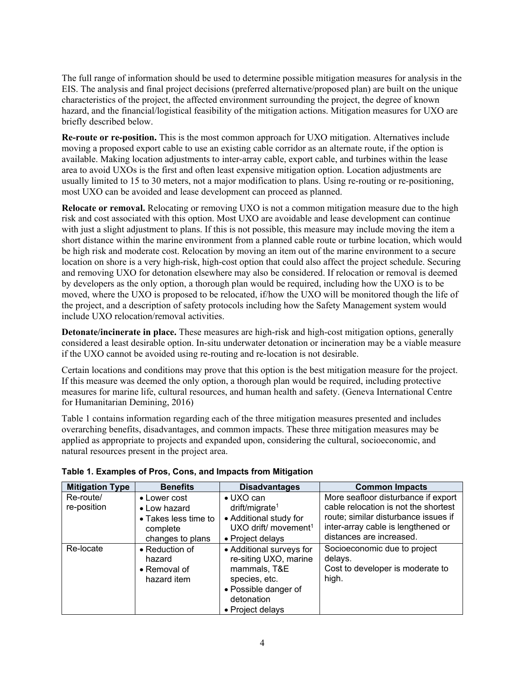The full range of information should be used to determine possible mitigation measures for analysis in the EIS. The analysis and final project decisions (preferred alternative/proposed plan) are built on the unique characteristics of the project, the affected environment surrounding the project, the degree of known hazard, and the financial/logistical feasibility of the mitigation actions. Mitigation measures for UXO are briefly described below.

**Re-route or re-position.** This is the most common approach for UXO mitigation. Alternatives include moving a proposed export cable to use an existing cable corridor as an alternate route, if the option is available. Making location adjustments to inter-array cable, export cable, and turbines within the lease area to avoid UXOs is the first and often least expensive mitigation option. Location adjustments are usually limited to 15 to 30 meters, not a major modification to plans. Using re-routing or re-positioning, most UXO can be avoided and lease development can proceed as planned.

**Relocate or removal.** Relocating or removing UXO is not a common mitigation measure due to the high risk and cost associated with this option. Most UXO are avoidable and lease development can continue with just a slight adjustment to plans. If this is not possible, this measure may include moving the item a short distance within the marine environment from a planned cable route or turbine location, which would be high risk and moderate cost. Relocation by moving an item out of the marine environment to a secure location on shore is a very high-risk, high-cost option that could also affect the project schedule. Securing and removing UXO for detonation elsewhere may also be considered. If relocation or removal is deemed by developers as the only option, a thorough plan would be required, including how the UXO is to be moved, where the UXO is proposed to be relocated, if/how the UXO will be monitored though the life of the project, and a description of safety protocols including how the Safety Management system would include UXO relocation/removal activities.

**Detonate/incinerate in place.** These measures are high-risk and high-cost mitigation options, generally considered a least desirable option. In-situ underwater detonation or incineration may be a viable measure if the UXO cannot be avoided using re-routing and re-location is not desirable.

Certain locations and conditions may prove that this option is the best mitigation measure for the project. If this measure was deemed the only option, a thorough plan would be required, including protective measures for marine life, cultural resources, and human health and safety. (Geneva International Centre for Humanitarian Demining, 2016)

[Table 1](#page-10-0) contains information regarding each of the three mitigation measures presented and includes overarching benefits, disadvantages, and common impacts. These three mitigation measures may be applied as appropriate to projects and expanded upon, considering the cultural, socioeconomic, and natural resources present in the project area.

| <b>Mitigation Type</b>   | <b>Benefits</b>                                                                      | <b>Disadvantages</b>                                                                                                                         | <b>Common Impacts</b>                                                                                                                                                                 |
|--------------------------|--------------------------------------------------------------------------------------|----------------------------------------------------------------------------------------------------------------------------------------------|---------------------------------------------------------------------------------------------------------------------------------------------------------------------------------------|
| Re-route/<br>re-position | • Lower cost<br>• Low hazard<br>• Takes less time to<br>complete<br>changes to plans | $\bullet$ UXO can<br>drift/migrate <sup>1</sup><br>• Additional study for<br>UXO drift/ movement <sup>1</sup><br>• Project delays            | More seafloor disturbance if export<br>cable relocation is not the shortest<br>route; similar disturbance issues if<br>inter-array cable is lengthened or<br>distances are increased. |
| Re-locate                | • Reduction of<br>hazard<br>• Removal of<br>hazard item                              | • Additional surveys for<br>re-siting UXO, marine<br>mammals, T&E<br>species, etc.<br>• Possible danger of<br>detonation<br>• Project delays | Socioeconomic due to project<br>delays.<br>Cost to developer is moderate to<br>high.                                                                                                  |

#### <span id="page-10-0"></span>**Table 1. Examples of Pros, Cons, and Impacts from Mitigation**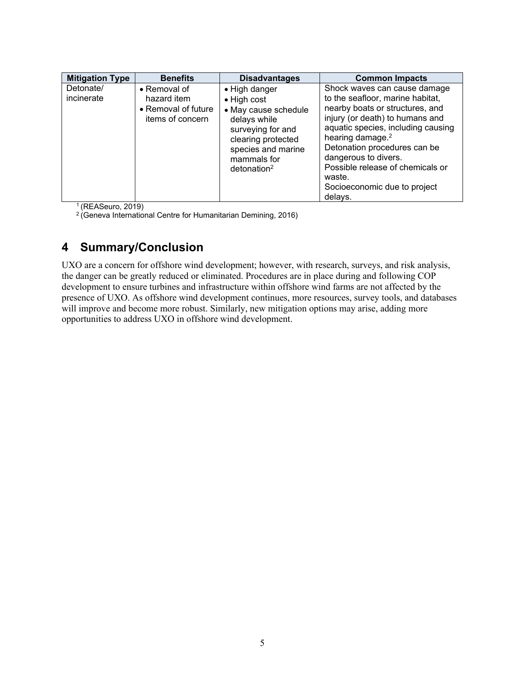| <b>Mitigation Type</b>  | <b>Benefits</b>                                                        | <b>Disadvantages</b>                                                                                                                                                                       | <b>Common Impacts</b>                                                                                                                                                                                                                                                                                                                                         |
|-------------------------|------------------------------------------------------------------------|--------------------------------------------------------------------------------------------------------------------------------------------------------------------------------------------|---------------------------------------------------------------------------------------------------------------------------------------------------------------------------------------------------------------------------------------------------------------------------------------------------------------------------------------------------------------|
| Detonate/<br>incinerate | • Removal of<br>hazard item<br>• Removal of future<br>items of concern | • High danger<br>$\bullet$ High cost<br>• May cause schedule<br>delays while<br>surveying for and<br>clearing protected<br>species and marine<br>mammals for<br>$d$ etonation <sup>2</sup> | Shock waves can cause damage<br>to the seafloor, marine habitat,<br>nearby boats or structures, and<br>injury (or death) to humans and<br>aquatic species, including causing<br>hearing damage. <sup>2</sup><br>Detonation procedures can be<br>dangerous to divers.<br>Possible release of chemicals or<br>waste.<br>Socioeconomic due to project<br>delays. |

1 (REASeuro, 2019)

<span id="page-11-0"></span> $2$  (Geneva International Centre for Humanitarian Demining, 2016)

#### **4 Summary/Conclusion**

UXO are a concern for offshore wind development; however, with research, surveys, and risk analysis, the danger can be greatly reduced or eliminated. Procedures are in place during and following COP development to ensure turbines and infrastructure within offshore wind farms are not affected by the presence of UXO. As offshore wind development continues, more resources, survey tools, and databases will improve and become more robust. Similarly, new mitigation options may arise, adding more opportunities to address UXO in offshore wind development.